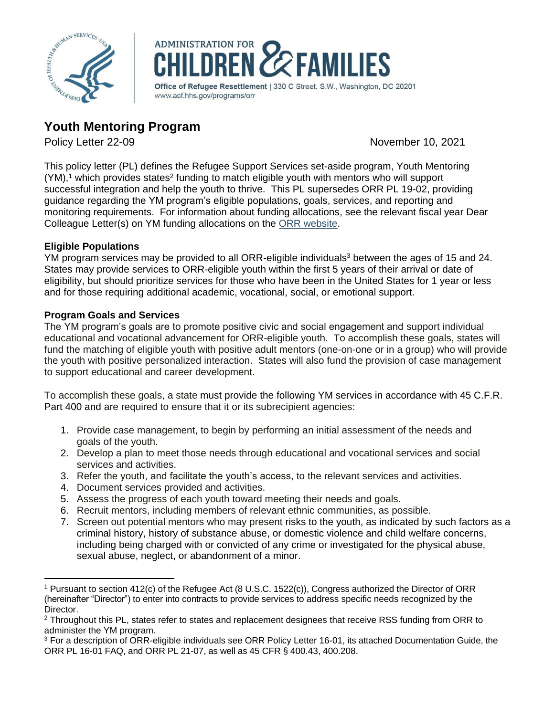



# **Youth Mentoring Program**

Policy Letter 22-09 November 10, 2021

This policy letter (PL) defines the Refugee Support Services set-aside program, Youth Mentoring  $(YM)$ ,<sup>1</sup> which provides states<sup>2</sup> funding to match eligible youth with mentors who will support successful integration and help the youth to thrive. This PL supersedes ORR PL 19-02, providing guidance regarding the YM program's eligible populations, goals, services, and reporting and monitoring requirements. For information about funding allocations, see the relevant fiscal year Dear Colleague Letter(s) on YM funding allocations on the ORR [website.](https://www.acf.hhs.gov/orr/policy-guidance/dear-colleague-letter)

## **Eligible Populations**

YM program services may be provided to all ORR-eligible individuals<sup>3</sup> between the ages of 15 and 24. States may provide services to ORR-eligible youth within the first 5 years of their arrival or date of eligibility, but should prioritize services for those who have been in the United States for 1 year or less and for those requiring additional academic, vocational, social, or emotional support.

## **Program Goals and Services**

The YM program's goals are to promote positive civic and social engagement and support individual educational and vocational advancement for ORR-eligible youth. To accomplish these goals, states will fund the matching of eligible youth with positive adult mentors (one-on-one or in a group) who will provide the youth with positive personalized interaction. States will also fund the provision of case management to support educational and career development.

To accomplish these goals, a state must provide the following YM services in accordance with 45 C.F.R. Part 400 and are required to ensure that it or its subrecipient agencies:

- 1. Provide case management, to begin by performing an initial assessment of the needs and goals of the youth.
- 2. Develop a plan to meet those needs through educational and vocational services and social services and activities.
- 3. Refer the youth, and facilitate the youth's access, to the relevant services and activities.
- 4. Document services provided and activities.
- 5. Assess the progress of each youth toward meeting their needs and goals.
- 6. Recruit mentors, including members of relevant ethnic communities, as possible.
- 7. Screen out potential mentors who may present risks to the youth, as indicated by such factors as a criminal history, history of substance abuse, or domestic violence and child welfare concerns, including being charged with or convicted of any crime or investigated for the physical abuse, sexual abuse, neglect, or abandonment of a minor.

<sup>1</sup> Pursuant to section 412(c) of the Refugee Act (8 U.S.C. 1522(c)), Congress authorized the Director of ORR (hereinafter "Director") to enter into contracts to provide services to address specific needs recognized by the Director.

<sup>&</sup>lt;sup>2</sup> Throughout this PL, states refer to states and replacement designees that receive RSS funding from ORR to administer the YM program.

<sup>&</sup>lt;sup>3</sup> For a description of ORR-eligible individuals see ORR Policy Letter 16-01, its attached Documentation Guide, the ORR PL 16-01 FAQ, and ORR PL 21-07, as well as 45 CFR § 400.43, 400.208.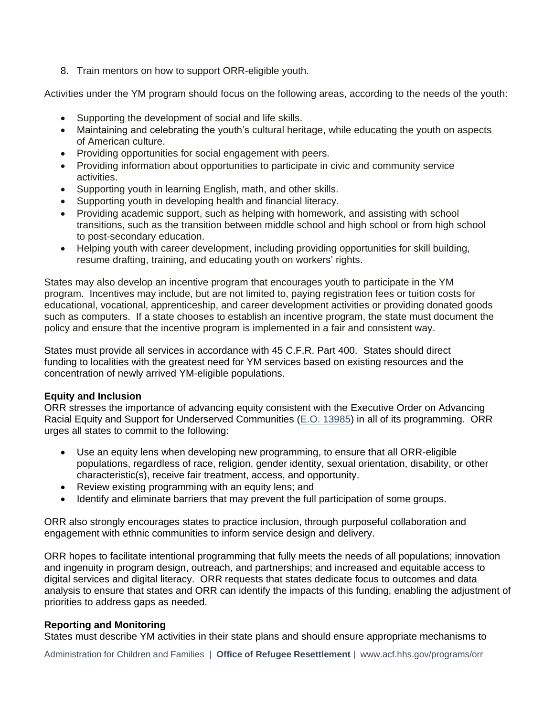8. Train mentors on how to support ORR-eligible youth.

Activities under the YM program should focus on the following areas, according to the needs of the youth:

- Supporting the development of social and life skills.
- Maintaining and celebrating the youth's cultural heritage, while educating the youth on aspects of American culture.
- Providing opportunities for social engagement with peers.
- Providing information about opportunities to participate in civic and community service activities.
- Supporting youth in learning English, math, and other skills.
- Supporting youth in developing health and financial literacy.
- Providing academic support, such as helping with homework, and assisting with school transitions, such as the transition between middle school and high school or from high school to post-secondary education.
- Helping youth with career development, including providing opportunities for skill building, resume drafting, training, and educating youth on workers' rights.

States may also develop an incentive program that encourages youth to participate in the YM program. Incentives may include, but are not limited to, paying registration fees or tuition costs for educational, vocational, apprenticeship, and career development activities or providing donated goods such as computers. If a state chooses to establish an incentive program, the state must document the policy and ensure that the incentive program is implemented in a fair and consistent way.

States must provide all services in accordance with 45 C.F.R. Part 400. States should direct funding to localities with the greatest need for YM services based on existing resources and the concentration of newly arrived YM-eligible populations.

### **Equity and Inclusion**

ORR stresses the importance of advancing equity consistent with the Executive Order on Advancing Racial Equity and Support for Underserved Communities [\(E.O. 13985\)](https://www.whitehouse.gov/briefing-room/presidential-actions/2021/01/20/executive-order-advancing-racial-equity-and-support-for-underserved-communities-through-the-federal-government/) in all of its programming. ORR urges all states to commit to the following:

- Use an equity lens when developing new programming, to ensure that all ORR-eligible populations, regardless of race, religion, gender identity, sexual orientation, disability, or other characteristic(s), receive fair treatment, access, and opportunity.
- Review existing programming with an equity lens; and
- Identify and eliminate barriers that may prevent the full participation of some groups.

ORR also strongly encourages states to practice inclusion, through purposeful collaboration and engagement with ethnic communities to inform service design and delivery.

ORR hopes to facilitate intentional programming that fully meets the needs of all populations; innovation and ingenuity in program design, outreach, and partnerships; and increased and equitable access to digital services and digital literacy. ORR requests that states dedicate focus to outcomes and data analysis to ensure that states and ORR can identify the impacts of this funding, enabling the adjustment of priorities to address gaps as needed.

## **Reporting and Monitoring**

States must describe YM activities in their state plans and should ensure appropriate mechanisms to

Administration for Children and Families | **Office of Refugee Resettlement** | [www.acf.hhs.gov/programs/orr](http://www.acf.hhs.gov/programs/orr)